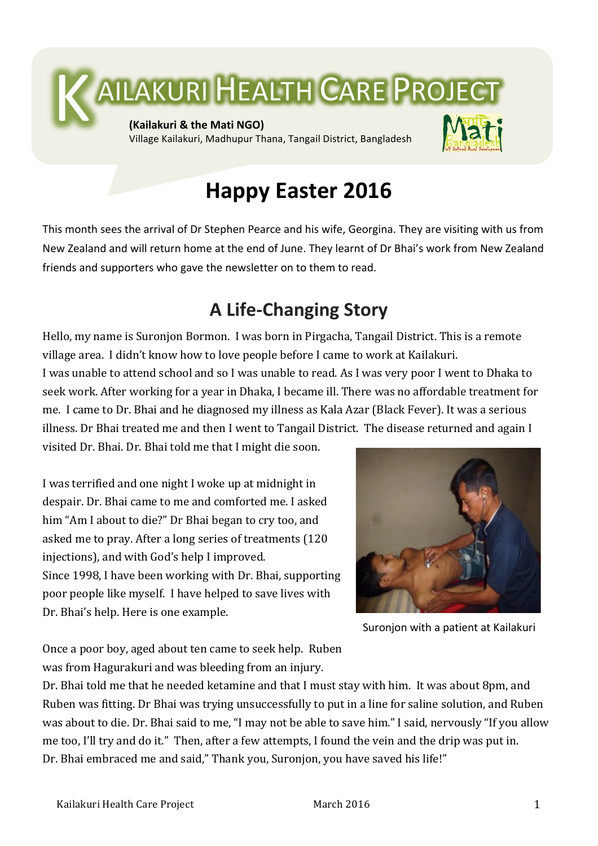

# **Happy Easter 2016**

This month sees the arrival of Dr Stephen Pearce and his wife, Georgina. They are visiting with us from New Zealand and will return home at the end of June. They learnt of Dr Bhai's work from New Zealand friends and supporters who gave the newsletter on to them to read.

## **A Life-Changing Story**

Hello, my name is Suronjon Bormon. I was born in Pirgacha, Tangail District. This is a remote village area. I didn't know how to love people before I came to work at Kailakuri. I was unable to attend school and so I was unable to read. As I was very poor I went to Dhaka to seek work. After working for a year in Dhaka, I became ill. There was no affordable treatment for me. I came to Dr. Bhai and he diagnosed my illness as Kala Azar (Black Fever). It was a serious illness. Dr Bhai treated me and then I went to Tangail District. The disease returned and again I

visited Dr. Bhai. Dr. Bhai told me that I might die soon.

I was terrified and one night I woke up at midnight in despair. Dr. Bhai came to me and comforted me. I asked him "Am I about to die?" Dr Bhai began to cry too, and asked me to pray. After a long series of treatments (120) injections), and with God's help I improved. Since 1998, I have been working with Dr. Bhai, supporting poor people like myself. I have helped to save lives with Dr. Bhai's help. Here is one example.



Suronjon with a patient at Kailakuri

Once a poor boy, aged about ten came to seek help. Ruben was from Hagurakuri and was bleeding from an injury.

Dr. Bhai told me that he needed ketamine and that I must stay with him. It was about 8pm, and Ruben was fitting. Dr Bhai was trying unsuccessfully to put in a line for saline solution, and Ruben was about to die. Dr. Bhai said to me, "I may not be able to save him." I said, nervously "If you allow me too, I'll try and do it." Then, after a few attempts, I found the vein and the drip was put in. Dr. Bhai embraced me and said," Thank you, Suronjon, you have saved his life!"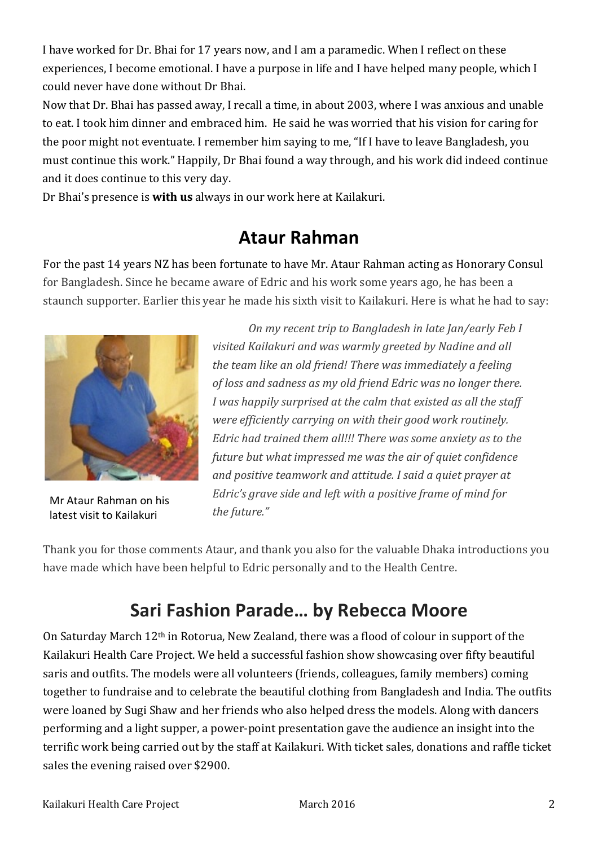I have worked for Dr. Bhai for 17 years now, and I am a paramedic. When I reflect on these experiences, I become emotional. I have a purpose in life and I have helped many people, which I could never have done without Dr Bhai.

Now that Dr. Bhai has passed away, I recall a time, in about 2003, where I was anxious and unable to eat. I took him dinner and embraced him. He said he was worried that his vision for caring for the poor might not eventuate. I remember him saying to me, "If I have to leave Bangladesh, you must continue this work." Happily, Dr Bhai found a way through, and his work did indeed continue and it does continue to this very day.

Dr Bhai's presence is **with us** always in our work here at Kailakuri.

## **Ataur Rahman**

For the past 14 years NZ has been fortunate to have Mr. Ataur Rahman acting as Honorary Consul for Bangladesh. Since he became aware of Edric and his work some years ago, he has been a staunch supporter. Earlier this year he made his sixth visit to Kailakuri. Here is what he had to say:



Mr Ataur Rahman on his latest visit to Kailakuri

*On my recent trip to Bangladesh in late Jan/early Feb I visited Kailakuri and was warmly areeted by Nadine and all* the team like an old friend! There was immediately a feeling *of loss and sadness as my old friend Edric was no longer there. I* was happily surprised at the calm that existed as all the staff *were efficiently carrying on with their good work routinely. Edric* had trained them all!!! There was some anxiety as to the *future but what impressed me was the air of quiet confidence* and positive teamwork and attitude. I said a quiet prayer at *Edric's grave side and left with a positive frame of mind for the future."*

Thank you for those comments Ataur, and thank you also for the valuable Dhaka introductions you have made which have been helpful to Edric personally and to the Health Centre.

## **Sari Fashion Parade... by Rebecca Moore**

On Saturday March 12<sup>th</sup> in Rotorua, New Zealand, there was a flood of colour in support of the Kailakuri Health Care Project. We held a successful fashion show showcasing over fifty beautiful saris and outfits. The models were all volunteers (friends, colleagues, family members) coming together to fundraise and to celebrate the beautiful clothing from Bangladesh and India. The outfits were loaned by Sugi Shaw and her friends who also helped dress the models. Along with dancers performing and a light supper, a power-point presentation gave the audience an insight into the terrific work being carried out by the staff at Kailakuri. With ticket sales, donations and raffle ticket sales the evening raised over \$2900.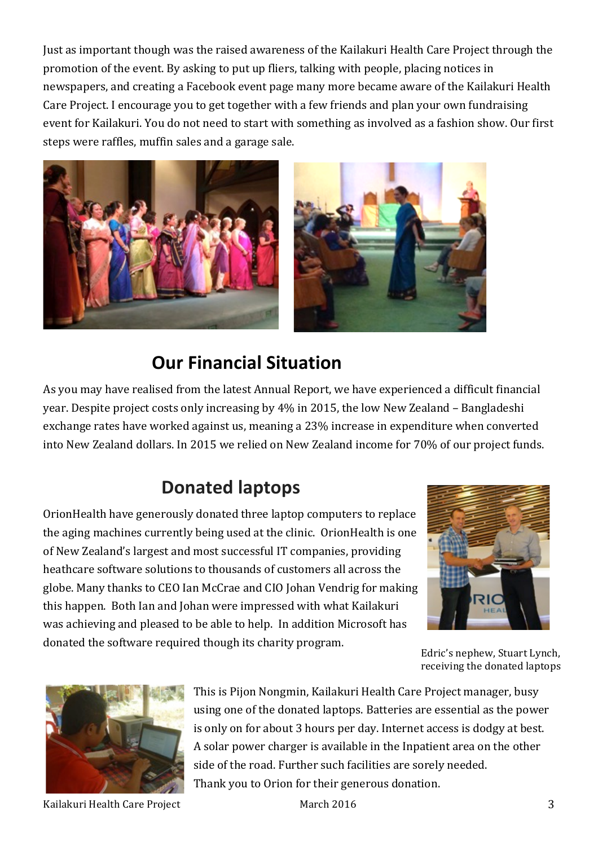Just as important though was the raised awareness of the Kailakuri Health Care Project through the promotion of the event. By asking to put up fliers, talking with people, placing notices in newspapers, and creating a Facebook event page many more became aware of the Kailakuri Health Care Project. I encourage you to get together with a few friends and plan your own fundraising event for Kailakuri. You do not need to start with something as involved as a fashion show. Our first steps were raffles, muffin sales and a garage sale.



## **Our Financial Situation**

As you may have realised from the latest Annual Report, we have experienced a difficult financial year. Despite project costs only increasing by 4% in 2015, the low New Zealand – Bangladeshi exchange rates have worked against us, meaning a 23% increase in expenditure when converted into New Zealand dollars. In 2015 we relied on New Zealand income for 70% of our project funds.

## **Donated laptops**

OrionHealth have generously donated three laptop computers to replace the aging machines currently being used at the clinic. OrionHealth is one of New Zealand's largest and most successful IT companies, providing heathcare software solutions to thousands of customers all across the globe. Many thanks to CEO Ian McCrae and CIO Johan Vendrig for making this happen. Both Ian and Johan were impressed with what Kailakuri was achieving and pleased to be able to help. In addition Microsoft has donated the software required though its charity program.



Edric's nephew, Stuart Lynch, receiving the donated laptops



Kailakuri Health Care Project  $\qquad \qquad \qquad$  March 2016  $\qquad \qquad \qquad$  3

This is Pijon Nongmin, Kailakuri Health Care Project manager, busy using one of the donated laptops. Batteries are essential as the power is only on for about 3 hours per day. Internet access is dodgy at best. A solar power charger is available in the Inpatient area on the other side of the road. Further such facilities are sorely needed. Thank you to Orion for their generous donation.